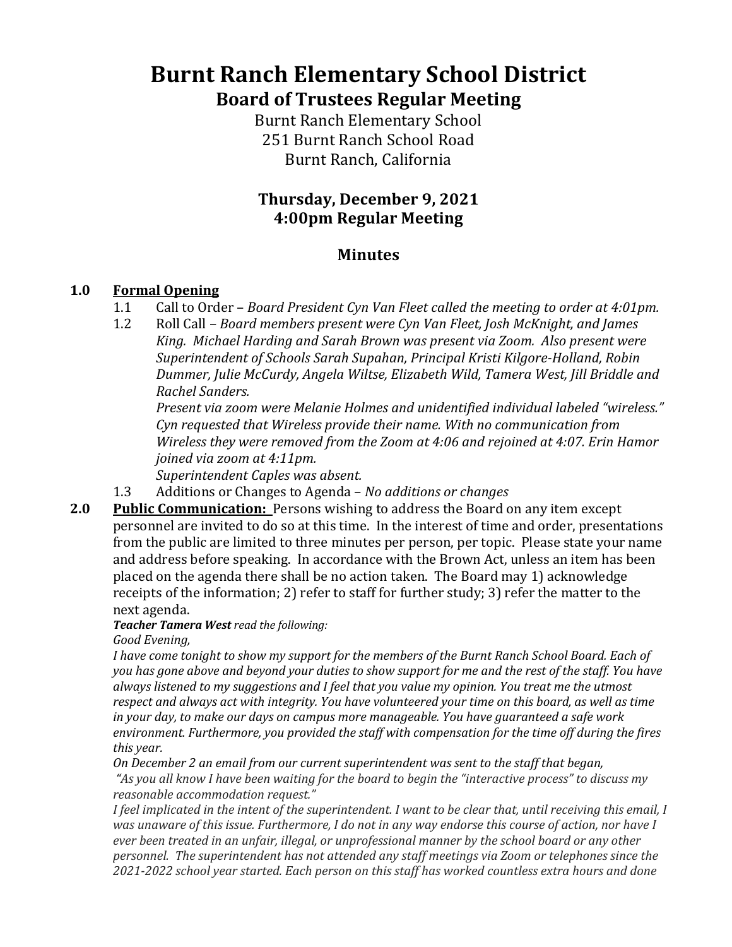# **Burnt Ranch Elementary School District Board of Trustees Regular Meeting**

**Burnt Ranch Elementary School** 251 Burnt Ranch School Road Burnt Ranch, California

## **Thursday, December 9, 2021 4:00pm Regular Meeting**

## **Minutes**

#### **1.0 Formal Opening**

- 1.1 Call to Order *Board President Cyn Van Fleet called the meeting to order at 4:01pm.*
- 1.2 Roll Call *Board members present were Cyn Van Fleet, Josh McKnight, and James* King. Michael Harding and Sarah Brown was present via Zoom. Also present were *Superintendent of Schools Sarah Supahan, Principal Kristi Kilgore-Holland, Robin*  Dummer, Julie McCurdy, Angela Wiltse, Elizabeth Wild, Tamera West, Jill Briddle and *Rachel Sanders.*

Present via zoom were Melanie Holmes and unidentified individual labeled "wireless." *Cyn* requested that Wireless provide their name. With no communication from *Wireless they were removed from the Zoom at 4:06 and rejoined at 4:07. Erin Hamor joined via zoom at 4:11pm.* 

*Superintendent Caples was absent.* 

- 1.3 Additions or Changes to Agenda *No additions or changes*
- **2.0 Public Communication:** Persons wishing to address the Board on any item except personnel are invited to do so at this time. In the interest of time and order, presentations from the public are limited to three minutes per person, per topic. Please state your name and address before speaking. In accordance with the Brown Act, unless an item has been placed on the agenda there shall be no action taken. The Board may 1) acknowledge receipts of the information; 2) refer to staff for further study; 3) refer the matter to the next agenda.

**Teacher Tamera West** read the following: *Good Evening,*

*I* have come tonight to show my support for the members of the Burnt Ranch School Board. Each of you has gone above and beyond your duties to show support for me and the rest of the staff. You have always listened to my suggestions and I feel that you value my opinion. You treat me the utmost respect and always act with integrity. You have volunteered your time on this board, as well as time *in* your day, to make our days on campus more manageable. You have guaranteed a safe work environment. Furthermore, you provided the staff with compensation for the time off during the fires *this year.*

*On December 2 an email from our current superintendent was sent to the staff that began,* 

"As you all know I have been waiting for the board to begin the "interactive process" to discuss my *reasonable accommodation request."*

*I* feel implicated in the intent of the superintendent. I want to be clear that, until receiving this email, I *was unaware of this issue. Furthermore, I do not in any way endorse this course of action, nor have I ever* been treated in an unfair, illegal, or unprofessional manner by the school board or any other *personnel.* The superintendent has not attended any staff meetings via Zoom or telephones since the 2021-2022 school year started. Each person on this staff has worked countless extra hours and done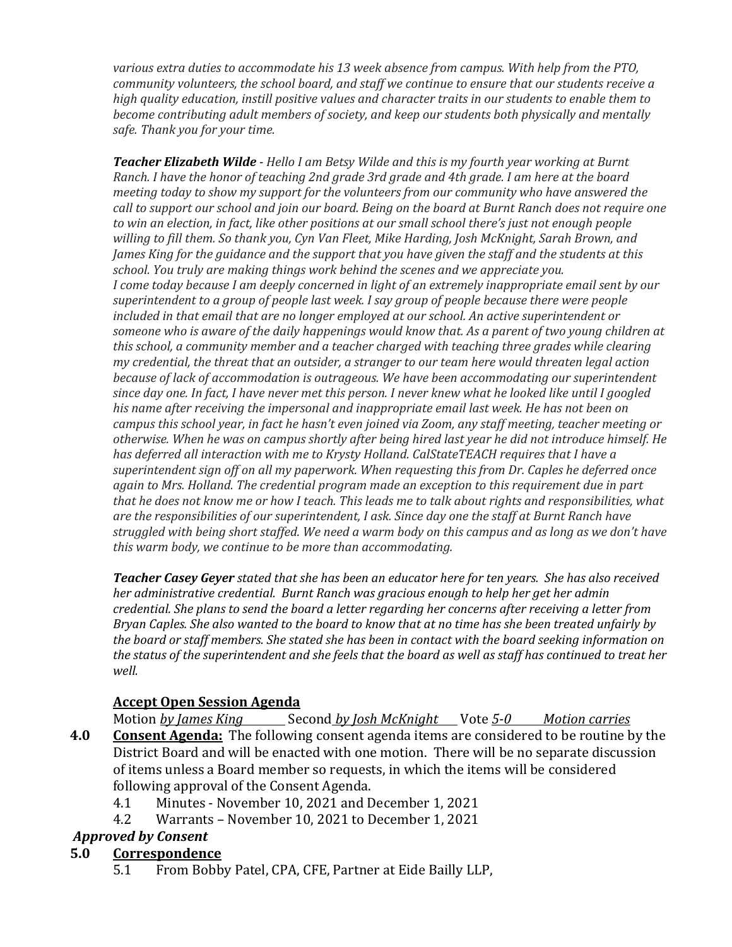various extra duties to accommodate his 13 week absence from campus. With help from the PTO, *community volunteers, the school board, and staff we continue to ensure that our students receive a high quality education, instill positive values and character traits in our students to enable them to become contributing adult members of society, and keep our students both physically and mentally safe. Thank you for your time.*

**Teacher Elizabeth Wilde** - Hello I am Betsy Wilde and this is my fourth year working at Burnt *Ranch. I have the honor of teaching 2nd grade 3rd grade and 4th grade. I am here at the board meeting today to show my support for the volunteers from our community who have answered the call* to support our school and join our board. Being on the board at Burnt Ranch does not require one *to* win an election, in fact, like other positions at our small school there's just not enough people willing to fill them. So thank you, Cyn Van Fleet, Mike Harding, Josh McKnight, Sarah Brown, and *James King for the guidance and the support that you have given the staff and the students at this school.* You truly are making things work behind the scenes and we appreciate you. *I* come today because *I* am deeply concerned in light of an extremely inappropriate email sent by our superintendent to a group of people last week. I say group of people because there were people included in that email that are no longer employed at our school. An active superintendent or someone who is aware of the daily happenings would know that. As a parent of two young children at *this school, a community member and a teacher charged with teaching three grades while clearing my* credential, the threat that an outsider, a stranger to our team here would threaten legal action *because of lack of accommodation is outrageous. We have been accommodating our superintendent* since day one. In fact, *I* have never met this person. I never knew what he looked like until I googled his name after receiving the impersonal and inappropriate email last week. He has not been on *campus* this school year, in fact he hasn't even joined via Zoom, any staff meeting, teacher meeting or *otherwise.* When he was on campus shortly after being hired last year he did not introduce himself. He has deferred all interaction with me to Krysty Holland. CalStateTEACH requires that I have a superintendent sign off on all my paperwork. When requesting this from Dr. Caples he deferred once *again to Mrs. Holland. The credential program made an exception to this requirement due in part that he does not know me or how I teach. This leads me to talk about rights and responsibilities, what are the responsibilities of our superintendent, I ask. Since day one the staff at Burnt Ranch have* struggled with being short staffed. We need a warm body on this campus and as long as we don't have *this* warm body, we continue to be more than accommodating.

**Teacher Casey Geyer** stated that she has been an educator here for ten years. She has also received *her* administrative credential. Burnt Ranch was gracious enough to help her get her admin *credential.* She plans to send the board a letter regarding her concerns after receiving a letter from *Bryan Caples. She also wanted to the board to know that at no time has she been treated unfairly by the board or staff members. She stated she has been in contact with the board seeking information on the status* of the superintendent and she feels that the board as well as staff has continued to treat her *well.* 

#### **Accept Open Session Agenda**

Motion *by James King* Second *by Josh McKnight* Vote 5-0 *Motion carries* **4.0** Consent Agenda: The following consent agenda items are considered to be routine by the District Board and will be enacted with one motion. There will be no separate discussion of items unless a Board member so requests, in which the items will be considered following approval of the Consent Agenda.

- 4.1 Minutes November 10, 2021 and December 1, 2021
- 4.2 Warrants November 10, 2021 to December 1, 2021

#### *Approved by Consent*

#### **5.0 Correspondence**

5.1 From Bobby Patel, CPA, CFE, Partner at Eide Bailly LLP,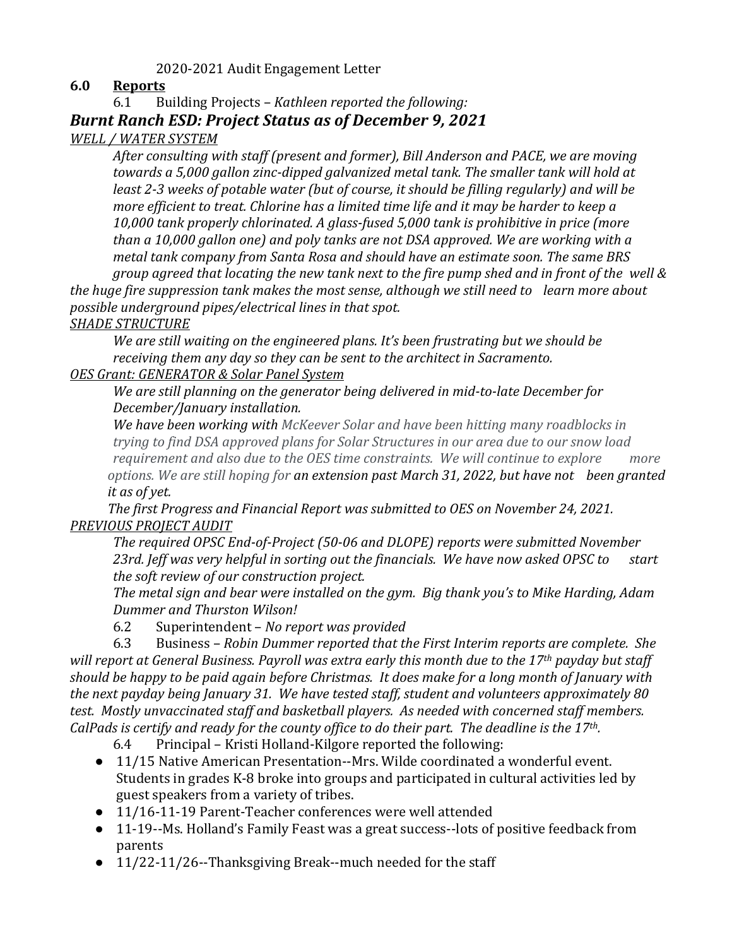#### 2020-2021 Audit Engagement Letter

#### **6.0 Reports**

6.1 Building Projects - *Kathleen reported the following:* 

**Burnt Ranch ESD: Project Status as of December 9, 2021** 

#### *WELL / WATER SYSTEM*

After consulting with staff (present and former), Bill Anderson and PACE, we are moving *towards a* 5,000 gallon zinc-dipped galvanized metal tank. The smaller tank will hold at *least 2-3* weeks of potable water (but of course, it should be filling regularly) and will be *more efficient to treat. Chlorine has a limited time life and it may be harder to keep a* 10,000 tank properly chlorinated. A glass-fused 5,000 tank is prohibitive in price (more *than a 10,000 gallon one)* and poly tanks are not DSA approved. We are working with a *metal tank company from Santa Rosa and should have an estimate soon. The same BRS group* agreed that locating the new tank next to the fire pump shed and in front of the well &

*the huge fire suppression tank makes the most sense, although we still need to* learn more about *possible underground pipes/electrical lines in that spot.* 

#### **SHADE STRUCTURE**

We are still waiting on the engineered plans. It's been frustrating but we should be *receiving them any day so they can be sent to the architect in Sacramento. OES Grant: GENERATOR & Solar Panel System*

We are still planning on the generator being delivered in mid-to-late December for *December/January installation.*

We have been working with McKeever Solar and have been hitting many roadblocks in *trying to find DSA approved plans for Solar Structures in our area due to our snow load requirement and also due to the OES time constraints. We will continue to explore more options.* We are still hoping for an extension past March 31, 2022, but have not been granted *it as of yet.*

*The first Progress and Financial Report was submitted to OES on November 24, 2021. PREVIOUS PROJECT AUDIT*

The required OPSC End-of-Project (50-06 and DLOPE) reports were submitted November 23rd. Jeff was very helpful in sorting out the financials. We have now asked OPSC to start *the soft review of our construction project.* 

The metal sign and bear were installed on the gym. Big thank you's to Mike Harding, Adam *Dummer and Thurston Wilson!* 

6.2 Superintendent – *No report was provided*

6.3 Business – *Robin Dummer reported that the First Interim reports are complete. She* will report at General Business. Payroll was extra early this month due to the 17<sup>th</sup> payday but staff *should be happy to be paid again before Christmas. It does make for a long month of January with* the next payday being January 31. We have tested staff, student and volunteers approximately 80 *test.* Mostly unvaccinated staff and basketball players. As needed with concerned staff members. *CalPads* is certify and ready for the county office to do their part. The deadline is the 17<sup>th</sup>.

- $6.4$  Principal Kristi Holland-Kilgore reported the following:
- 11/15 Native American Presentation--Mrs. Wilde coordinated a wonderful event. Students in grades K-8 broke into groups and participated in cultural activities led by guest speakers from a variety of tribes.
- 11/16-11-19 Parent-Teacher conferences were well attended
- 11-19--Ms. Holland's Family Feast was a great success--lots of positive feedback from parents
- $\bullet$  11/22-11/26--Thanksgiving Break--much needed for the staff